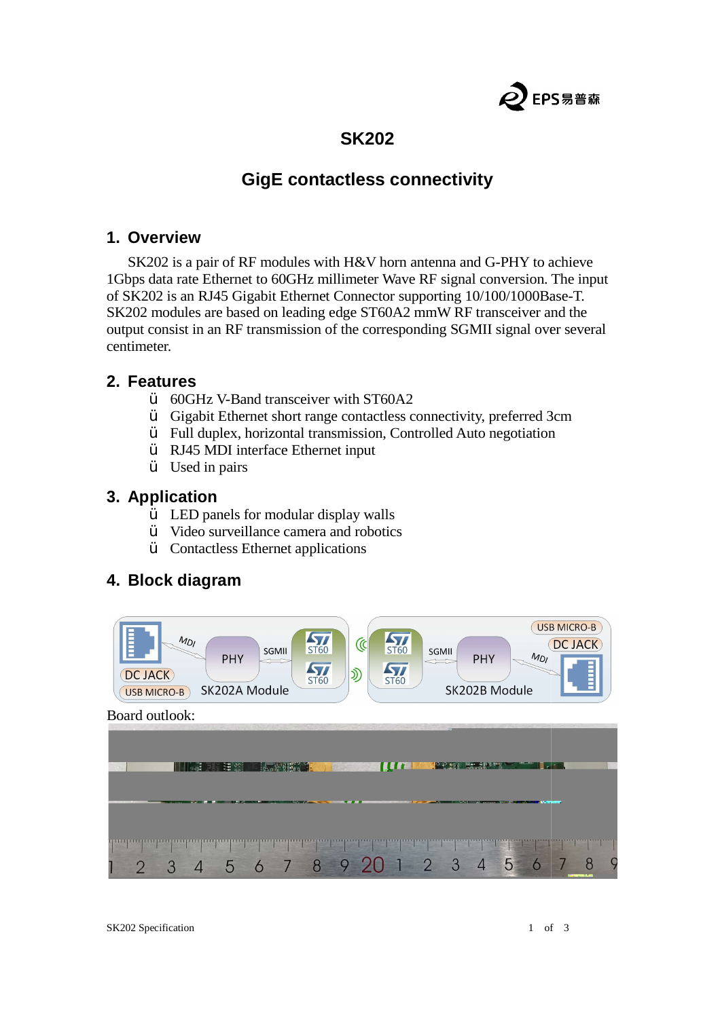

# **SK202**

# **GigE** contactless connectivity

#### **1. Overview**

SK202 is a pair of RF modules with H&V horn antenna and G-PHY to achieve<br>pps data rate Ethernet to 60GHz millimeter Wave RF signal conversion. The inp<br>iK202 is an RJ45 Gigabit Ethernet Connector supporting 10/100/1000Base-1Gbps data rate Ethernet to 60GHz millimeter Wave RF signal conversion. The input of SK202 is an RJ45 Gigabit Ethernet Connector supporting 10/100/1000Base SK202 modules are based on leading edge ST60A2 mmW RF transceiver and the output consist in an RF transmission of the corresponding SGMII signal over several<br>
centimeter.<br>
2. Features<br>  $\ddot{v}$  60GHz V-Band transceiver with ST60A2<br>  $\ddot{v}$  Gigabit Ethernet short range contactless connectivity, centimeter. **SK202**<br> **GigE contactless connectivity**<br>  $\mathbb{R}^F$  modules with H&V horn antenna and G-PHY to achieve<br>
to 60GHz millimeter Wave  $\mathbb{R}^F$  signal conversion. The input<br>
igabit Ethernet Connector supporting  $10/100/1000B$ 

### **2. Features**

- $\ddot{V}$  60GHz V-Band transceiver with ST60A2<br> $\ddot{V}$  Gigabit Ethernet short range contactless c
- $\ddot{Y}$  Gigabit Ethernet short range contactless connectivity, preferred 3
- $\ddot{Y}$  Full duplex, horizontal transmission, Controlled Auto negotiation
- Ÿ RJ45 MDI interface Ethernet input
- Ÿ Used in pairs

## **3. Application**

- $\ddot{Y}$  LED panels for modular display walls
- $\ddot{Y}$  Video surveillance camera and robotics
- Ÿ Contactless Ethernet applications

### **4. Block diagram**

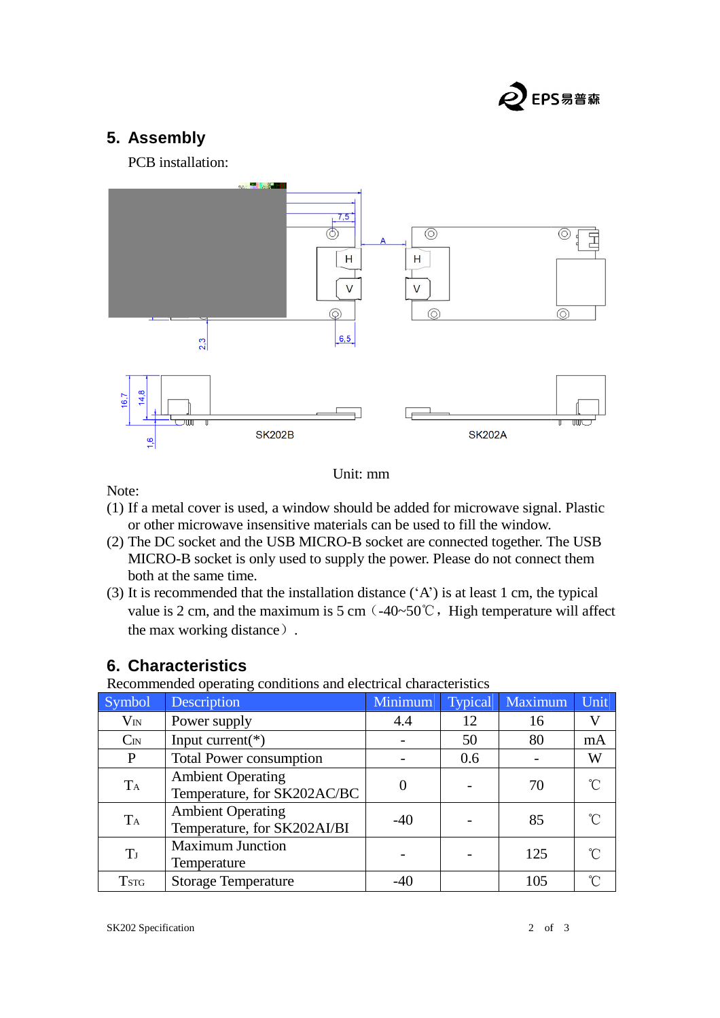

# **5. Assembly**

PCB installation:



Unit: mm

Note:

- (1) If a metal cover is used, a window should be added for microwave signal. Plastic or other microwave insensitive materials can be used to fill the window.
- (2) The DC socket and the USB MICRO-B socket are connected together. The USB MICRO-B socket is only used to supply the power. Please do not connect them both at the same time.
- (3) It is recommended that the installation distance  $({}^{\circ}A^{\circ})$  is at least 1 cm, the typical value is 2 cm, and the maximum is 5 cm  $(-40~50^{\circ}\text{C})$ , High temperature will affect the max working distance) . d to fill the window.<br>
connected together. The USB<br>
Please do not connect them<br>
) is at least 1 cm, the typical<br>
, High temperature will affect<br>
acteristics<br> **Conserver Structure 11**<br>
Typical Maximum Unit

## **6. Characteristics**

Recommended operating conditions and electrical characteristics

| Symbol      | Description                                             | Minimum | <b>Typical</b> | Maximum | Unit |
|-------------|---------------------------------------------------------|---------|----------------|---------|------|
| $V_{IN}$    | Power supply                                            | 4.4     | 12             | 16      |      |
| $C_{IN}$    | Input current( $*)$                                     |         | 50             | 80      | mA   |
| P           | <b>Total Power consumption</b>                          |         | 0.6            |         | W    |
| TA          | <b>Ambient Operating</b><br>Temperature, for SK202AC/BC |         |                | 70      |      |
| TA          | <b>Ambient Operating</b><br>Temperature, for SK202AI/BI | $-40$   |                | 85      |      |
| T           | <b>Maximum Junction</b><br>Temperature                  |         |                | 125     |      |
| <b>TSTG</b> | <b>Storage Temperature</b>                              |         |                | 105     |      |